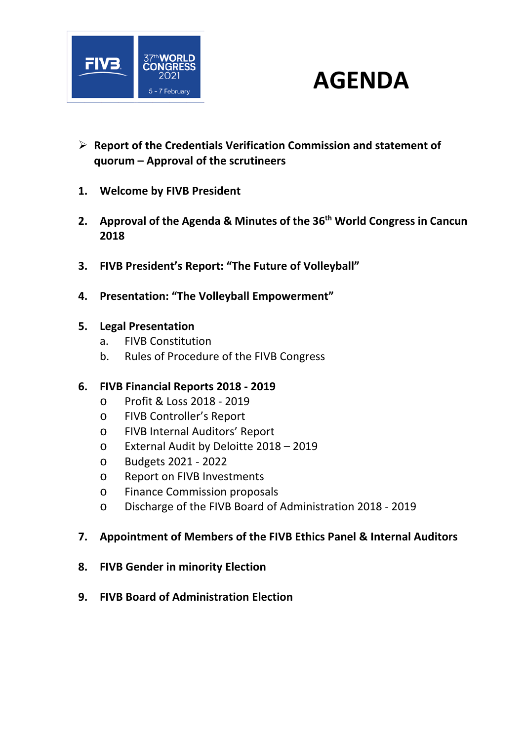

## **AGENDA**

- **Report of the Credentials Verification Commission and statement of quorum – Approval of the scrutineers**
- **1. Welcome by FIVB President**
- **2. Approval of the Agenda & Minutes of the 36th World Congress in Cancun 2018**
- **3. FIVB President's Report: "The Future of Volleyball"**
- **4. Presentation: "The Volleyball Empowerment"**
- **5. Legal Presentation** 
	- a. FIVB Constitution
	- b. Rules of Procedure of the FIVB Congress

## **6. FIVB Financial Reports 2018 ‐ 2019**

- o Profit & Loss 2018 ‐ 2019
- o FIVB Controller's Report
- o FIVB Internal Auditors' Report
- o External Audit by Deloitte 2018 2019
- o Budgets 2021 ‐ 2022
- o Report on FIVB Investments
- o Finance Commission proposals
- o Discharge of the FIVB Board of Administration 2018 ‐ 2019
- **7. Appointment of Members of the FIVB Ethics Panel & Internal Auditors**
- **8. FIVB Gender in minority Election**
- **9. FIVB Board of Administration Election**